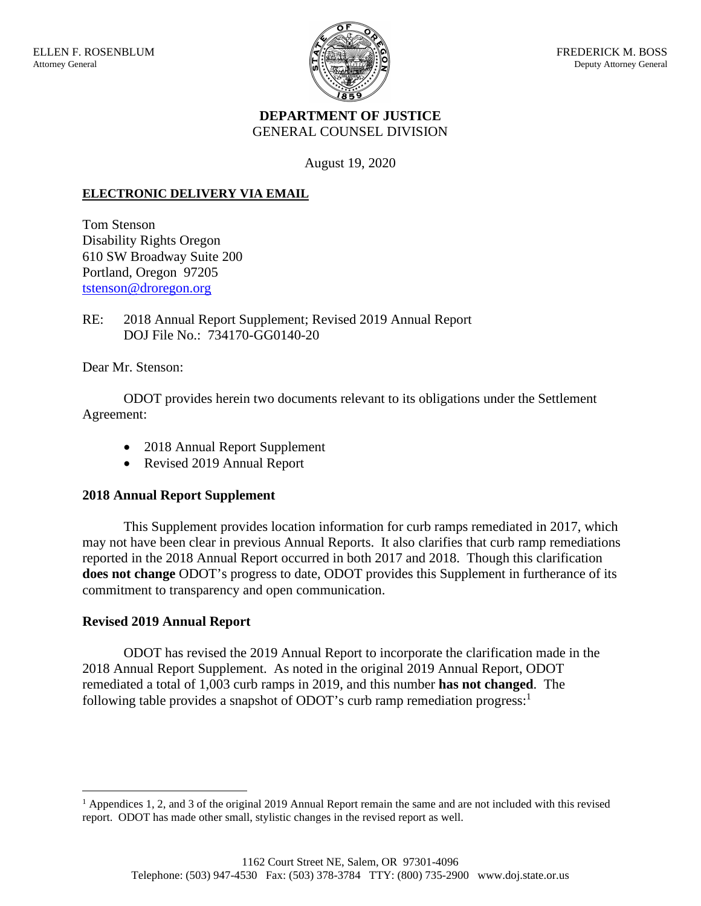

## **DEPARTMENT OF JUSTICE** GENERAL COUNSEL DIVISION

August 19, 2020

## **ELECTRONIC DELIVERY VIA EMAIL**

Tom Stenson Disability Rights Oregon 610 SW Broadway Suite 200 Portland, Oregon 97205 tstenson@droregon.org

RE: 2018 Annual Report Supplement; Revised 2019 Annual Report DOJ File No.: 734170-GG0140-20

Dear Mr. Stenson:

ODOT provides herein two documents relevant to its obligations under the Settlement Agreement:

- 2018 Annual Report Supplement
- Revised 2019 Annual Report

## **2018 Annual Report Supplement**

This Supplement provides location information for curb ramps remediated in 2017, which may not have been clear in previous Annual Reports. It also clarifies that curb ramp remediations reported in the 2018 Annual Report occurred in both 2017 and 2018. Though this clarification **does not change** ODOT's progress to date, ODOT provides this Supplement in furtherance of its commitment to transparency and open communication.

## **Revised 2019 Annual Report**

ODOT has revised the 2019 Annual Report to incorporate the clarification made in the 2018 Annual Report Supplement. As noted in the original 2019 Annual Report, ODOT remediated a total of 1,003 curb ramps in 2019, and this number **has not changed**. The following table provides a snapshot of ODOT's curb ramp remediation progress:<sup>1</sup>

 $<sup>1</sup>$  Appendices 1, 2, and 3 of the original 2019 Annual Report remain the same and are not included with this revised</sup> report. ODOT has made other small, stylistic changes in the revised report as well.